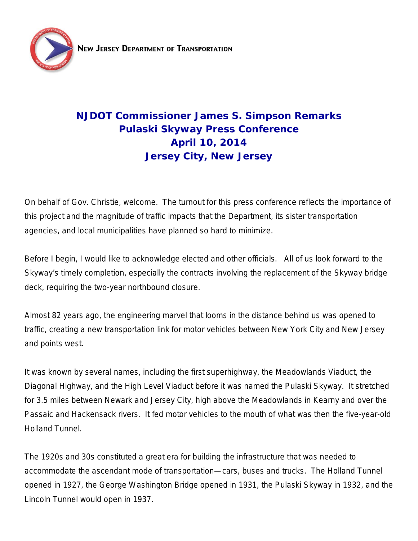

# **NJDOT Commissioner James S. Simpson Remarks Pulaski Skyway Press Conference April 10, 2014 Jersey City, New Jersey**

On behalf of Gov. Christie, welcome. The turnout for this press conference reflects the importance of this project and the magnitude of traffic impacts that the Department, its sister transportation agencies, and local municipalities have planned so hard to minimize.

Before I begin, I would like to acknowledge elected and other officials. All of us look forward to the Skyway's timely completion, especially the contracts involving the replacement of the Skyway bridge deck, requiring the two-year northbound closure.

Almost 82 years ago, the engineering marvel that looms in the distance behind us was opened to traffic, creating a new transportation link for motor vehicles between New York City and New Jersey and points west.

It was known by several names, including the first superhighway, the Meadowlands Viaduct, the Diagonal Highway, and the High Level Viaduct before it was named the Pulaski Skyway. It stretched for 3.5 miles between Newark and Jersey City, high above the Meadowlands in Kearny and over the Passaic and Hackensack rivers. It fed motor vehicles to the mouth of what was then the five-year-old Holland Tunnel.

The 1920s and 30s constituted a great era for building the infrastructure that was needed to accommodate the ascendant mode of transportation—cars, buses and trucks. The Holland Tunnel opened in 1927, the George Washington Bridge opened in 1931, the Pulaski Skyway in 1932, and the Lincoln Tunnel would open in 1937.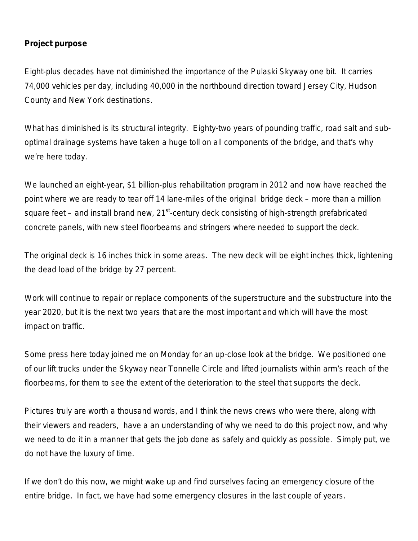#### **Project purpose**

Eight-plus decades have not diminished the importance of the Pulaski Skyway one bit. It carries 74,000 vehicles per day, including 40,000 in the northbound direction toward Jersey City, Hudson County and New York destinations.

What has diminished is its structural integrity. Eighty-two years of pounding traffic, road salt and suboptimal drainage systems have taken a huge toll on all components of the bridge, and that's why we're here today.

We launched an eight-year, \$1 billion-plus rehabilitation program in 2012 and now have reached the point where we are ready to tear off 14 lane-miles of the original bridge deck – more than a million square feet – and install brand new,  $21^{st}$ -century deck consisting of high-strength prefabricated concrete panels, with new steel floorbeams and stringers where needed to support the deck.

The original deck is 16 inches thick in some areas. The new deck will be eight inches thick, lightening the dead load of the bridge by 27 percent.

Work will continue to repair or replace components of the superstructure and the substructure into the year 2020, but it is the next two years that are the most important and which will have the most impact on traffic.

Some press here today joined me on Monday for an up-close look at the bridge. We positioned one of our lift trucks under the Skyway near Tonnelle Circle and lifted journalists within arm's reach of the floorbeams, for them to see the extent of the deterioration to the steel that supports the deck.

Pictures truly are worth a thousand words, and I think the news crews who were there, along with their viewers and readers, have a an understanding of why we need to do this project now, and why we need to do it in a manner that gets the job done as safely and quickly as possible. Simply put, we do not have the luxury of time.

If we don't do this now, we might wake up and find ourselves facing an emergency closure of the entire bridge. In fact, we have had some emergency closures in the last couple of years.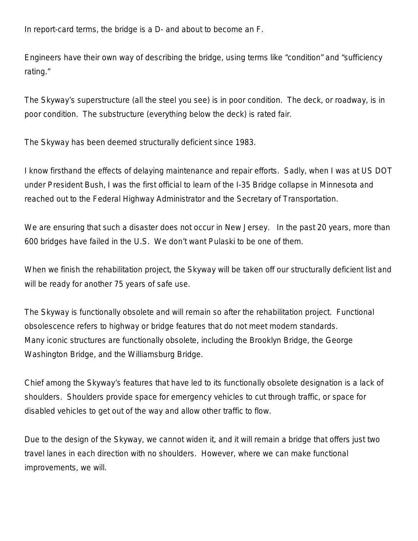In report-card terms, the bridge is a D- and about to become an F.

Engineers have their own way of describing the bridge, using terms like "condition" and "sufficiency rating."

The Skyway's superstructure (all the steel you see) is in poor condition. The deck, or roadway, is in poor condition. The substructure (everything below the deck) is rated fair.

The Skyway has been deemed structurally deficient since 1983.

I know firsthand the effects of delaying maintenance and repair efforts. Sadly, when I was at US DOT under President Bush, I was the first official to learn of the I-35 Bridge collapse in Minnesota and reached out to the Federal Highway Administrator and the Secretary of Transportation.

We are ensuring that such a disaster does not occur in New Jersey. In the past 20 years, more than 600 bridges have failed in the U.S. We don't want Pulaski to be one of them.

When we finish the rehabilitation project, the Skyway will be taken off our structurally deficient list and will be ready for another 75 years of safe use.

The Skyway is functionally obsolete and will remain so after the rehabilitation project. Functional obsolescence refers to highway or bridge features that do not meet modern standards. Many iconic structures are functionally obsolete, including the Brooklyn Bridge, the George Washington Bridge, and the Williamsburg Bridge.

Chief among the Skyway's features that have led to its functionally obsolete designation is a lack of shoulders. Shoulders provide space for emergency vehicles to cut through traffic, or space for disabled vehicles to get out of the way and allow other traffic to flow.

Due to the design of the Skyway, we cannot widen it, and it will remain a bridge that offers just two travel lanes in each direction with no shoulders. However, where we can make functional improvements, we will.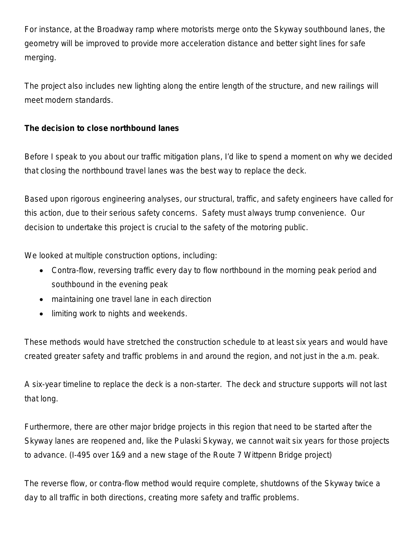For instance, at the Broadway ramp where motorists merge onto the Skyway southbound lanes, the geometry will be improved to provide more acceleration distance and better sight lines for safe merging.

The project also includes new lighting along the entire length of the structure, and new railings will meet modern standards.

## **The decision to close northbound lanes**

Before I speak to you about our traffic mitigation plans, I'd like to spend a moment on why we decided that closing the northbound travel lanes was the best way to replace the deck.

Based upon rigorous engineering analyses, our structural, traffic, and safety engineers have called for this action, due to their serious safety concerns. Safety must always trump convenience. Our decision to undertake this project is crucial to the safety of the motoring public.

We looked at multiple construction options, including:

- Contra-flow, reversing traffic every day to flow northbound in the morning peak period and southbound in the evening peak
- maintaining one travel lane in each direction
- limiting work to nights and weekends.

These methods would have stretched the construction schedule to at least six years and would have created greater safety and traffic problems in and around the region, and not just in the a.m. peak.

A six-year timeline to replace the deck is a non-starter. The deck and structure supports will not last that long.

Furthermore, there are other major bridge projects in this region that need to be started after the Skyway lanes are reopened and, like the Pulaski Skyway, we cannot wait six years for those projects to advance. (I-495 over 1&9 and a new stage of the Route 7 Wittpenn Bridge project)

The reverse flow, or contra-flow method would require complete, shutdowns of the Skyway twice a day to all traffic in both directions, creating more safety and traffic problems.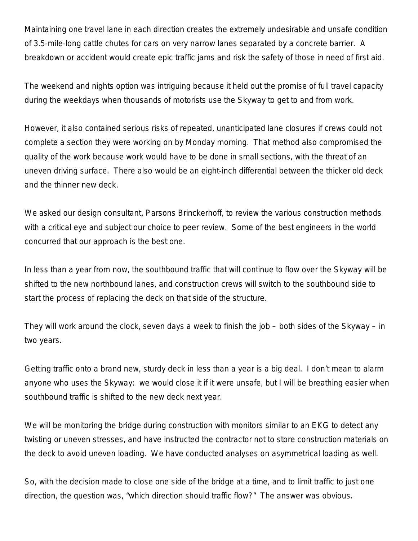Maintaining one travel lane in each direction creates the extremely undesirable and unsafe condition of 3.5-mile-long cattle chutes for cars on very narrow lanes separated by a concrete barrier. A breakdown or accident would create epic traffic jams and risk the safety of those in need of first aid.

The weekend and nights option was intriguing because it held out the promise of full travel capacity during the weekdays when thousands of motorists use the Skyway to get to and from work.

However, it also contained serious risks of repeated, unanticipated lane closures if crews could not complete a section they were working on by Monday morning. That method also compromised the quality of the work because work would have to be done in small sections, with the threat of an uneven driving surface. There also would be an eight-inch differential between the thicker old deck and the thinner new deck.

We asked our design consultant, Parsons Brinckerhoff, to review the various construction methods with a critical eye and subject our choice to peer review. Some of the best engineers in the world concurred that our approach is the best one.

In less than a year from now, the southbound traffic that will continue to flow over the Skyway will be shifted to the new northbound lanes, and construction crews will switch to the southbound side to start the process of replacing the deck on that side of the structure.

They will work around the clock, seven days a week to finish the job – both sides of the Skyway – in two years.

Getting traffic onto a brand new, sturdy deck in less than a year is a big deal. I don't mean to alarm anyone who uses the Skyway: we would close it if it were unsafe, but I will be breathing easier when southbound traffic is shifted to the new deck next year.

We will be monitoring the bridge during construction with monitors similar to an EKG to detect any twisting or uneven stresses, and have instructed the contractor not to store construction materials on the deck to avoid uneven loading. We have conducted analyses on asymmetrical loading as well.

So, with the decision made to close one side of the bridge at a time, and to limit traffic to just one direction, the question was, "which direction should traffic flow?" The answer was obvious.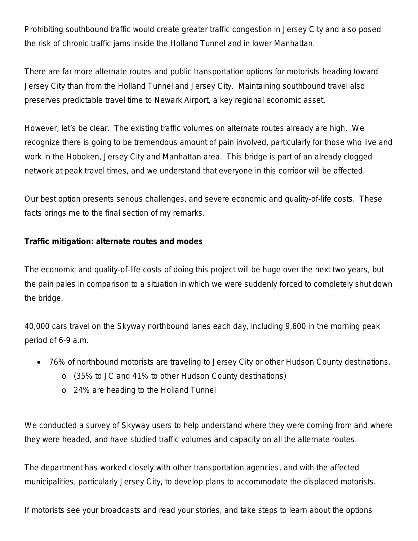Prohibiting southbound traffic would create greater traffic congestion in Jersey City and also posed the risk of chronic traffic jams inside the Holland Tunnel and in lower Manhattan.

There are far more alternate routes and public transportation options for motorists heading toward Jersey City than from the Holland Tunnel and Jersey City. Maintaining southbound travel also preserves predictable travel time to Newark Airport, a key regional economic asset.

However, let's be clear. The existing traffic volumes on alternate routes already are high. We recognize there is going to be tremendous amount of pain involved, particularly for those who live and work in the Hoboken, Jersey City and Manhattan area. This bridge is part of an already clogged network at peak travel times, and we understand that everyone in this corridor will be affected.

Our best option presents serious challenges, and severe economic and quality-of-life costs. These facts brings me to the final section of my remarks.

## **Traffic mitigation: alternate routes and modes**

The economic and quality-of-life costs of doing this project will be huge over the next two years, but the pain pales in comparison to a situation in which we were suddenly forced to completely shut down the bridge.

40,000 cars travel on the Skyway northbound lanes each day, including 9,600 in the morning peak period of 6-9 a.m.

- 76% of northbound motorists are traveling to Jersey City or other Hudson County destinations.
	- o (35% to JC and 41% to other Hudson County destinations)
	- o 24% are heading to the Holland Tunnel

We conducted a survey of Skyway users to help understand where they were coming from and where they were headed, and have studied traffic volumes and capacity on all the alternate routes.

The department has worked closely with other transportation agencies, and with the affected municipalities, particularly Jersey City, to develop plans to accommodate the displaced motorists.

If motorists see your broadcasts and read your stories, and take steps to learn about the options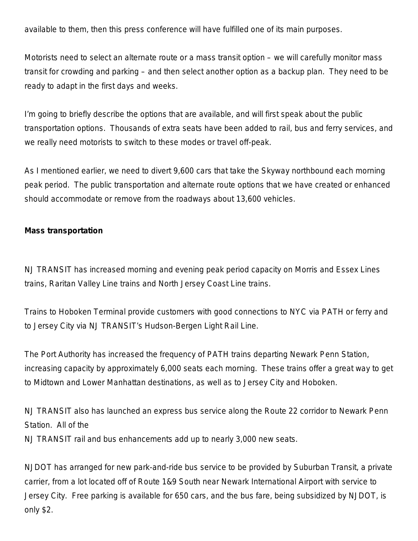available to them, then this press conference will have fulfilled one of its main purposes.

Motorists need to select an alternate route or a mass transit option – we will carefully monitor mass transit for crowding and parking – and then select another option as a backup plan. They need to be ready to adapt in the first days and weeks.

I'm going to briefly describe the options that are available, and will first speak about the public transportation options. Thousands of extra seats have been added to rail, bus and ferry services, and we really need motorists to switch to these modes or travel off-peak.

As I mentioned earlier, we need to divert 9,600 cars that take the Skyway northbound each morning peak period. The public transportation and alternate route options that we have created or enhanced should accommodate or remove from the roadways about 13,600 vehicles.

#### **Mass transportation**

NJ TRANSIT has increased morning and evening peak period capacity on Morris and Essex Lines trains, Raritan Valley Line trains and North Jersey Coast Line trains.

Trains to Hoboken Terminal provide customers with good connections to NYC via PATH or ferry and to Jersey City via NJ TRANSIT's Hudson-Bergen Light Rail Line.

The Port Authority has increased the frequency of PATH trains departing Newark Penn Station, increasing capacity by approximately 6,000 seats each morning. These trains offer a great way to get to Midtown and Lower Manhattan destinations, as well as to Jersey City and Hoboken.

NJ TRANSIT also has launched an express bus service along the Route 22 corridor to Newark Penn Station. All of the NJ TRANSIT rail and bus enhancements add up to nearly 3,000 new seats.

NJDOT has arranged for new park-and-ride bus service to be provided by Suburban Transit, a private carrier, from a lot located off of Route 1&9 South near Newark International Airport with service to Jersey City. Free parking is available for 650 cars, and the bus fare, being subsidized by NJDOT, is only \$2.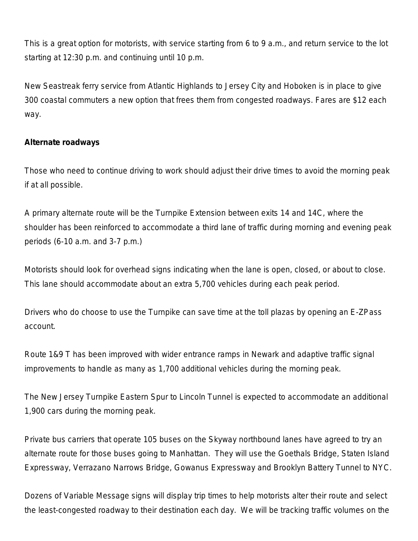This is a great option for motorists, with service starting from 6 to 9 a.m., and return service to the lot starting at 12:30 p.m. and continuing until 10 p.m.

New Seastreak ferry service from Atlantic Highlands to Jersey City and Hoboken is in place to give 300 coastal commuters a new option that frees them from congested roadways. Fares are \$12 each way.

### **Alternate roadways**

Those who need to continue driving to work should adjust their drive times to avoid the morning peak if at all possible.

A primary alternate route will be the Turnpike Extension between exits 14 and 14C, where the shoulder has been reinforced to accommodate a third lane of traffic during morning and evening peak periods (6-10 a.m. and 3-7 p.m.)

Motorists should look for overhead signs indicating when the lane is open, closed, or about to close. This lane should accommodate about an extra 5,700 vehicles during each peak period.

Drivers who do choose to use the Turnpike can save time at the toll plazas by opening an E-ZPass account.

Route 1&9 T has been improved with wider entrance ramps in Newark and adaptive traffic signal improvements to handle as many as 1,700 additional vehicles during the morning peak.

The New Jersey Turnpike Eastern Spur to Lincoln Tunnel is expected to accommodate an additional 1,900 cars during the morning peak.

Private bus carriers that operate 105 buses on the Skyway northbound lanes have agreed to try an alternate route for those buses going to Manhattan. They will use the Goethals Bridge, Staten Island Expressway, Verrazano Narrows Bridge, Gowanus Expressway and Brooklyn Battery Tunnel to NYC.

Dozens of Variable Message signs will display trip times to help motorists alter their route and select the least-congested roadway to their destination each day. We will be tracking traffic volumes on the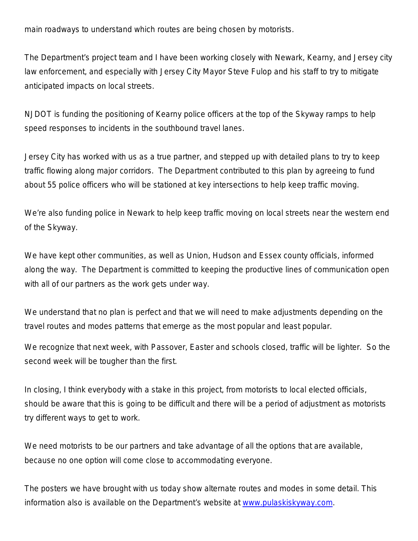main roadways to understand which routes are being chosen by motorists.

The Department's project team and I have been working closely with Newark, Kearny, and Jersey city law enforcement, and especially with Jersey City Mayor Steve Fulop and his staff to try to mitigate anticipated impacts on local streets.

NJDOT is funding the positioning of Kearny police officers at the top of the Skyway ramps to help speed responses to incidents in the southbound travel lanes.

Jersey City has worked with us as a true partner, and stepped up with detailed plans to try to keep traffic flowing along major corridors. The Department contributed to this plan by agreeing to fund about 55 police officers who will be stationed at key intersections to help keep traffic moving.

We're also funding police in Newark to help keep traffic moving on local streets near the western end of the Skyway.

We have kept other communities, as well as Union, Hudson and Essex county officials, informed along the way. The Department is committed to keeping the productive lines of communication open with all of our partners as the work gets under way.

We understand that no plan is perfect and that we will need to make adjustments depending on the travel routes and modes patterns that emerge as the most popular and least popular.

We recognize that next week, with Passover, Easter and schools closed, traffic will be lighter. So the second week will be tougher than the first.

In closing, I think everybody with a stake in this project, from motorists to local elected officials, should be aware that this is going to be difficult and there will be a period of adjustment as motorists try different ways to get to work.

We need motorists to be our partners and take advantage of all the options that are available, because no one option will come close to accommodating everyone.

The posters we have brought with us today show alternate routes and modes in some detail. This information also is available on the Department's website at [www.pulaskiskyway.com.](http://www.pulaskiskyway.com/)